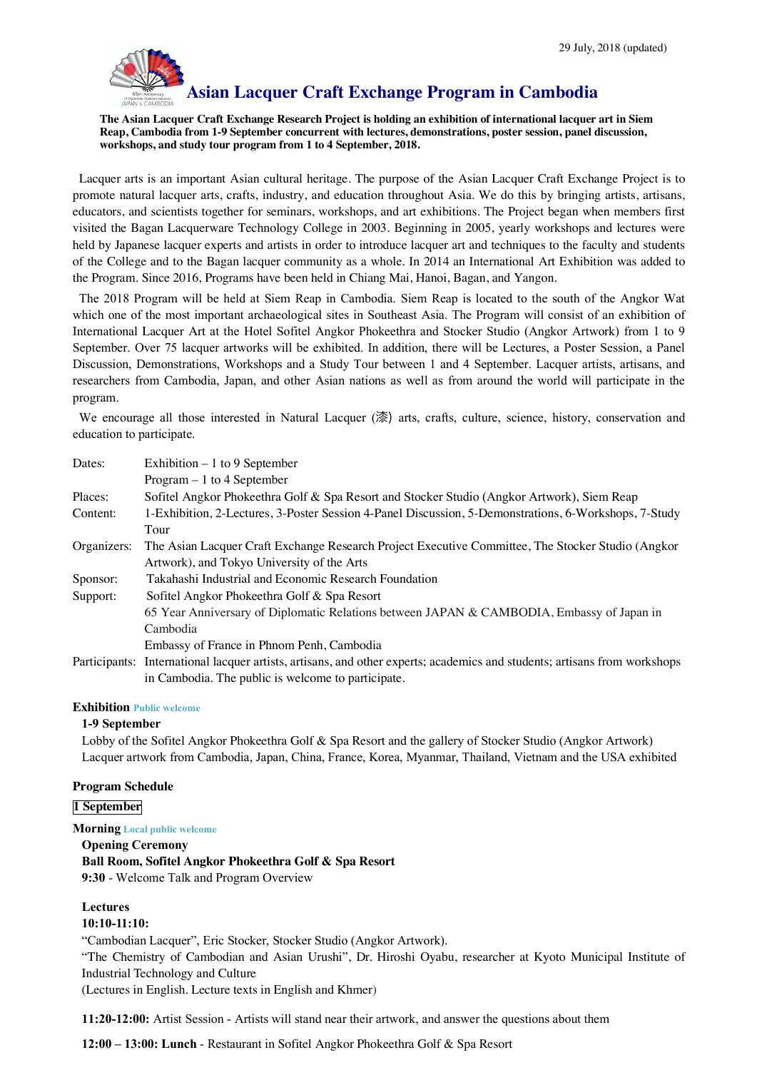

# **Asian Lacquer Craft Exchange Program in Cambodia**

**The Asian Lacquer Craft Exchange Research Project is holding an exhibition of international lacquer art in Siem Reap, Cambodia from 1-9 September concurrent with lectures, demonstrations, poster session, panel discussion, workshops, and study tour program from 1 to 4 September, 2018.**

Lacquer arts is an important Asian cultural heritage. The purpose of the Asian Lacquer Craft Exchange Project is to promote natural lacquer arts, crafts, industry, and education throughout Asia. We do this by bringing artists, artisans, educators, and scientists together for seminars, workshops, and art exhibitions. The Project began when members first visited the Bagan Lacquerware Technology College in 2003. Beginning in 2005, yearly workshops and lectures were held by Japanese lacquer experts and artists in order to introduce lacquer art and techniques to the faculty and students of the College and to the Bagan lacquer community as a whole. In 2014 an International Art Exhibition was added to the Program. Since 2016, Programs have been held in Chiang Mai, Hanoi, Bagan, and Yangon.

The 2018 Program will be held at Siem Reap in Cambodia. Siem Reap is located to the south of the Angkor Wat which one of the most important archaeological sites in Southeast Asia. The Program will consist of an exhibition of International Lacquer Art at the Hotel Sofitel Angkor Phokeethra and Stocker Studio (Angkor Artwork) from 1 to 9 September. Over 75 lacquer artworks will be exhibited. In addition, there will be Lectures, a Poster Session, a Panel Discussion, Demonstrations, Workshops and a Study Tour between 1 and 4 September. Lacquer artists, artisans, and researchers from Cambodia, Japan, and other Asian nations as well as from around the world will participate in the program.

We encourage all those interested in Natural Lacquer (漆) arts, crafts, culture, science, history, conservation and education to participate.

| Dates:      | Exhibition $-1$ to 9 September                                                                                            |
|-------------|---------------------------------------------------------------------------------------------------------------------------|
|             | $Program - 1$ to 4 September                                                                                              |
| Places:     | Sofitel Angkor Phokeethra Golf & Spa Resort and Stocker Studio (Angkor Artwork), Siem Reap                                |
| Content:    | 1-Exhibition, 2-Lectures, 3-Poster Session 4-Panel Discussion, 5-Demonstrations, 6-Workshops, 7-Study                     |
|             | Tour                                                                                                                      |
| Organizers: | The Asian Lacquer Craft Exchange Research Project Executive Committee, The Stocker Studio (Angkor                         |
|             | Artwork), and Tokyo University of the Arts                                                                                |
| Sponsor:    | Takahashi Industrial and Economic Research Foundation                                                                     |
| Support:    | Sofitel Angkor Phokeethra Golf & Spa Resort                                                                               |
|             | 65 Year Anniversary of Diplomatic Relations between JAPAN & CAMBODIA, Embassy of Japan in                                 |
|             | Cambodia                                                                                                                  |
|             | Embassy of France in Phnom Penh, Cambodia                                                                                 |
|             | Participants: International lacquer artists, artisans, and other experts; academics and students; artisans from workshops |
|             | in Cambodia. The public is welcome to participate.                                                                        |

#### **Exhibition Public welcome**

#### **1-9 September**

Lobby of the Sofitel Angkor Phokeethra Golf & Spa Resort and the gallery of Stocker Studio (Angkor Artwork) Lacquer artwork from Cambodia, Japan, China, France, Korea, Myanmar, Thailand, Vietnam and the USA exhibited

#### **Program Schedule**

#### **1 September**

#### **Morning Local public welcome**

**Opening Ceremony**

**Ball Room, Sofitel Angkor Phokeethra Golf & Spa Resort**

**9:30** - Welcome Talk and Program Overview

## **Lectures**

#### **10:10-11:10:**

"Cambodian Lacquer", Eric Stocker, Stocker Studio (Angkor Artwork).

"The Chemistry of Cambodian and Asian Urushi", Dr. Hiroshi Oyabu, researcher at Kyoto Municipal Institute of Industrial Technology and Culture

(Lectures in English. Lecture texts in English and Khmer)

**11:20-12:00:** Artist Session - Artists will stand near their artwork, and answer the questions about them

**12:00 – 13:00: Lunch** - Restaurant in Sofitel Angkor Phokeethra Golf & Spa Resort